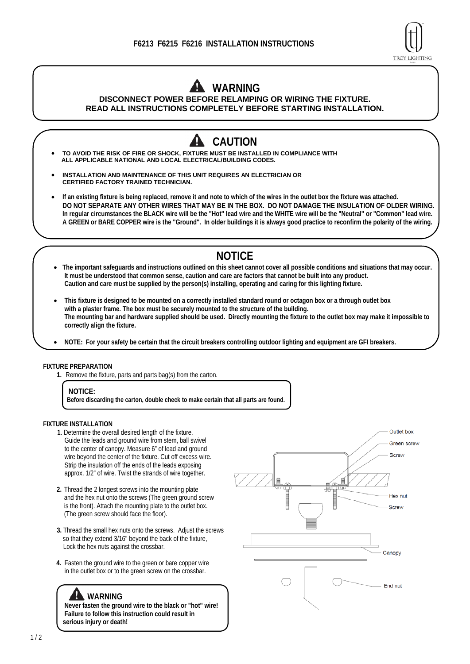

# **WARNING**

**DISCONNECT POWER BEFORE RELAMPING OR WIRING THE FIXTURE. READ ALL INSTRUCTIONS COMPLETELY BEFORE STARTING INSTALLATION.**

**CAUTION TO AVOID THE RISK OF FIRE OR SHOCK, FIXTURE MUST BE INSTALLED IN COMPLIANCE WITH ALL APPLICABLE NATIONAL AND LOCAL ELECTRICAL/BUILDING CODES. INSTALLATION AND MAINTENANCE OF THIS UNIT REQUIRES AN ELECTRICIAN OR CERTIFIED FACTORY TRAINED TECHNICIAN. If an existing fixture is being replaced, remove it and note to which of the wires in the outlet box the fixture was attached. DO NOT SEPARATE ANY OTHER WIRES THAT MAY BE IN THE BOX. DO NOT DAMAGE THE INSULATION OF OLDER WIRING. In regular circumstances the BLACK wire will be the "Hot" lead wire and the WHITE wire will be the "Neutral" or "Common" lead wire. A GREEN or BARE COPPER wire is the "Ground". In older buildings it is always good practice to reconfirm the polarity of the wiring.** 

## **NOTICE**

- **The important safeguards and instructions outlined on this sheet cannot cover all possible conditions and situations that may occur. It must be understood that common sense, caution and care are factors that cannot be built into any product. Caution and care must be supplied by the person(s) installing, operating and caring for this lighting fixture.**
- **This fixture is designed to be mounted on a correctly installed standard round or octagon box or a through outlet box with a plaster frame. The box must be securely mounted to the structure of the building. The mounting bar and hardware supplied should be used. Directly mounting the fixture to the outlet box may make it impossible to correctly align the fixture.**
- **NOTE: For your safety be certain that the circuit breakers controlling outdoor lighting and equipment are GFI breakers.**

#### **FIXTURE PREPARATION**

**1.** Remove the fixture, parts and parts bag(s) from the carton.

**Before discarding the carton, double check to make certain that all parts are found.** 

#### **FIXTURE INSTALLATION**

- **1**. Determine the overall desired length of the fixture. Guide the leads and ground wire from stem, ball swivel to the center of canopy. Measure 6" of lead and ground wire beyond the center of the fixture. Cut off excess wire. Strip the insulation off the ends of the leads exposing approx. 1/2" of wire. Twist the strands of wire together.
- **2.** Thread the 2 longest screws into the mounting plate and the hex nut onto the screws (The green ground screw is the front). Attach the mounting plate to the outlet box. (The green screw should face the floor).
- **3.** Thread the small hex nuts onto the screws. Adjust the screws so that they extend 3/16" beyond the back of the fixture, Lock the hex nuts against the crossbar.
- **4.** Fasten the ground wire to the green or bare copper wire in the outlet box or to the green screw on the crossbar.

### **WARNING**

**Never fasten the ground wire to the black or "hot" wire! Failure to follow this instruction could result in serious injury or death!** 



**NOTICE:**